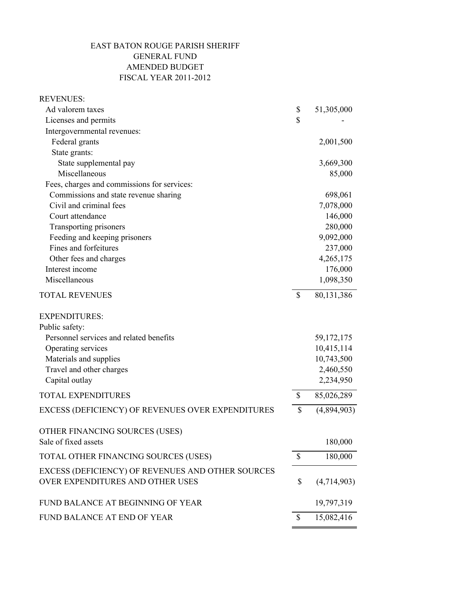## EAST BATON ROUGE PARISH SHERIFF GENERAL FUND AMENDED BUDGET FISCAL YEAR 2011-2012

| <b>REVENUES:</b>                                  |                    |              |
|---------------------------------------------------|--------------------|--------------|
| Ad valorem taxes                                  | \$                 | 51,305,000   |
| Licenses and permits                              | $\mathbf{\hat{S}}$ |              |
| Intergovernmental revenues:                       |                    |              |
| Federal grants                                    |                    | 2,001,500    |
| State grants:                                     |                    |              |
| State supplemental pay                            |                    | 3,669,300    |
| Miscellaneous                                     |                    | 85,000       |
| Fees, charges and commissions for services:       |                    |              |
| Commissions and state revenue sharing             |                    | 698,061      |
| Civil and criminal fees                           |                    | 7,078,000    |
| Court attendance                                  |                    | 146,000      |
| Transporting prisoners                            |                    | 280,000      |
| Feeding and keeping prisoners                     |                    | 9,092,000    |
| Fines and forfeitures                             |                    | 237,000      |
| Other fees and charges                            |                    | 4,265,175    |
| Interest income                                   |                    | 176,000      |
| Miscellaneous                                     |                    | 1,098,350    |
| <b>TOTAL REVENUES</b>                             | \$                 | 80,131,386   |
| <b>EXPENDITURES:</b>                              |                    |              |
| Public safety:                                    |                    |              |
| Personnel services and related benefits           |                    | 59, 172, 175 |
| Operating services                                |                    | 10,415,114   |
| Materials and supplies                            |                    | 10,743,500   |
| Travel and other charges                          |                    | 2,460,550    |
| Capital outlay                                    |                    | 2,234,950    |
| <b>TOTAL EXPENDITURES</b>                         | \$                 | 85,026,289   |
| EXCESS (DEFICIENCY) OF REVENUES OVER EXPENDITURES | \$                 | (4,894,903)  |
| OTHER FINANCING SOURCES (USES)                    |                    |              |
| Sale of fixed assets                              |                    | 180,000      |
| TOTAL OTHER FINANCING SOURCES (USES)              | $\mathbb{S}$       | 180,000      |
| EXCESS (DEFICIENCY) OF REVENUES AND OTHER SOURCES |                    |              |
| OVER EXPENDITURES AND OTHER USES                  | \$                 | (4,714,903)  |
| FUND BALANCE AT BEGINNING OF YEAR                 |                    | 19,797,319   |
| FUND BALANCE AT END OF YEAR                       | \$                 | 15,082,416   |
|                                                   |                    |              |